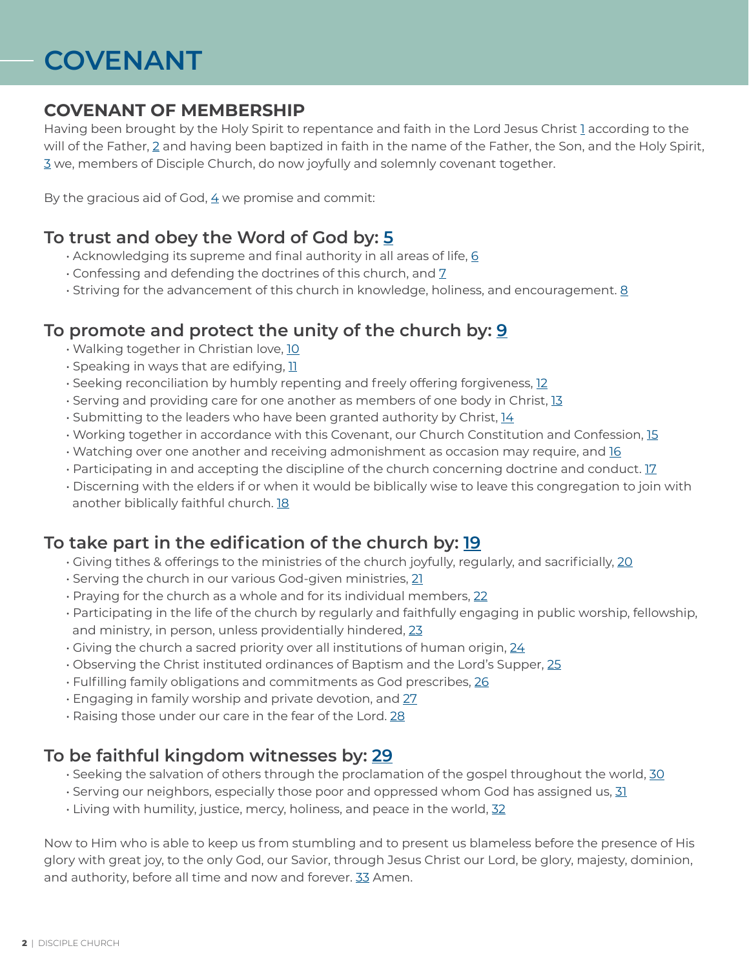# **COVENANT**

### **COVENANT OF MEMBERSHIP**

Having been brought by the Holy Spirit to repentance and faith in the Lord Jesus Christ 1 according to the will of the Father, 2 and having been baptized in faith in the name of the Father, the Son, and the Holy Spirit, 3 we, members of Disciple Church, do now joyfully and solemnly covenant together.

By the gracious aid of God,  $4$  we promise and commit:

### **To trust and obey the Word of God by: 5**

- Acknowledging its supreme and final authority in all areas of life, 6
- $\cdot$  Confessing and defending the doctrines of this church, and  $\frac{7}{2}$
- Striving for the advancement of this church in knowledge, holiness, and encouragement. 8

### **To promote and protect the unity of the church by: 9**

- Walking together in Christian love, 10
- Speaking in ways that are edifying, 11
- Seeking reconciliation by humbly repenting and freely offering forgiveness, 12
- Serving and providing care for one another as members of one body in Christ, 13
- Submitting to the leaders who have been granted authority by Christ, 14
- $\cdot$  Working together in accordance with this Covenant, our Church Constitution and Confession, 15
- Watching over one another and receiving admonishment as occasion may require, and 16
- $\cdot$  Participating in and accepting the discipline of the church concerning doctrine and conduct.  $17$
- Discerning with the elders if or when it would be biblically wise to leave this congregation to join with another biblically faithful church. 18

# **To take part in the edification of the church by: 19**

- $\cdot$  Giving tithes & offerings to the ministries of the church joyfully, regularly, and sacrificially, 20
- Serving the church in our various God-given ministries, 21
- Praying for the church as a whole and for its individual members, 22
- Participating in the life of the church by regularly and faithfully engaging in public worship, fellowship, and ministry, in person, unless providentially hindered, 23
- Giving the church a sacred priority over all institutions of human origin, 24
- Observing the Christ instituted ordinances of Baptism and the Lord's Supper, 25
- Fulfilling family obligations and commitments as God prescribes, 26
- Engaging in family worship and private devotion, and 27
- Raising those under our care in the fear of the Lord. 28

# **To be faithful kingdom witnesses by: 29**

- $\cdot$  Seeking the salvation of others through the proclamation of the gospel throughout the world, 30
- $\cdot$  Serving our neighbors, especially those poor and oppressed whom God has assigned us, 31
- Living with humility, justice, mercy, holiness, and peace in the world, 32

Now to Him who is able to keep us from stumbling and to present us blameless before the presence of His glory with great joy, to the only God, our Savior, through Jesus Christ our Lord, be glory, majesty, dominion, and authority, before all time and now and forever. 33 Amen.